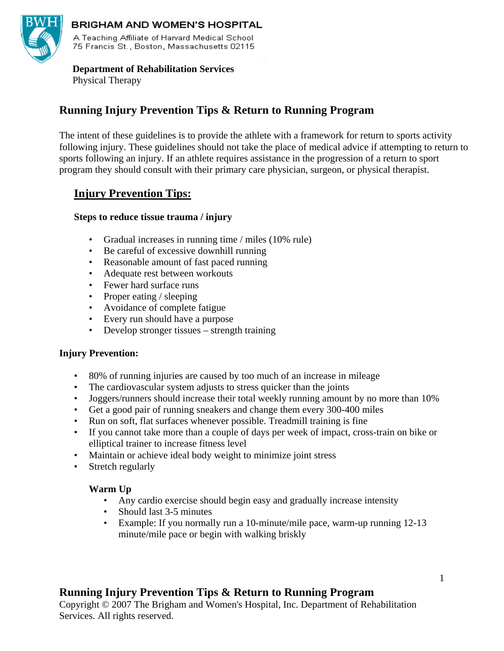

## BRIGHAM AND WOMEN'S HOSPITAL

A Teaching Affiliate of Harvard Medical School 75 Francis St., Boston, Massachusetts 02115

#### **Department of Rehabilitation Services**  Physical Therapy

# **Running Injury Prevention Tips & Return to Running Program**

The intent of these guidelines is to provide the athlete with a framework for return to sports activity following injury. These guidelines should not take the place of medical advice if attempting to return to sports following an injury. If an athlete requires assistance in the progression of a return to sport program they should consult with their primary care physician, surgeon, or physical therapist.

# **Injury Prevention Tips:**

## **Steps to reduce tissue trauma / injury**

- Gradual increases in running time / miles (10% rule)
- Be careful of excessive downhill running
- Reasonable amount of fast paced running
- Adequate rest between workouts
- Fewer hard surface runs
- Proper eating / sleeping
- Avoidance of complete fatigue
- Every run should have a purpose
- Develop stronger tissues strength training

## **Injury Prevention:**

- 80% of running injuries are caused by too much of an increase in mileage
- The cardiovascular system adjusts to stress quicker than the joints
- Joggers/runners should increase their total weekly running amount by no more than 10%
- Get a good pair of running sneakers and change them every 300-400 miles
- Run on soft, flat surfaces whenever possible. Treadmill training is fine
- If you cannot take more than a couple of days per week of impact, cross-train on bike or elliptical trainer to increase fitness level
- Maintain or achieve ideal body weight to minimize joint stress
- Stretch regularly

## **Warm Up**

- Any cardio exercise should begin easy and gradually increase intensity
- Should last 3-5 minutes
- Example: If you normally run a 10-minute/mile pace, warm-up running 12-13 minute/mile pace or begin with walking briskly

# **Running Injury Prevention Tips & Return to Running Program**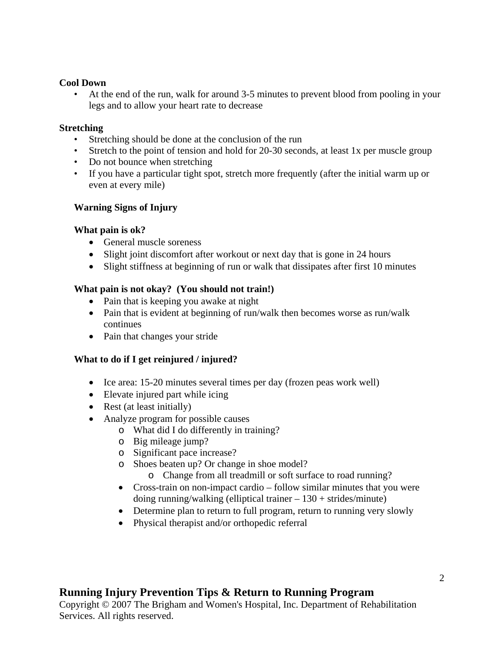#### **Cool Down**

• At the end of the run, walk for around 3-5 minutes to prevent blood from pooling in your legs and to allow your heart rate to decrease

### **Stretching**

- Stretching should be done at the conclusion of the run
- Stretch to the point of tension and hold for 20-30 seconds, at least 1x per muscle group
- Do not bounce when stretching
- If you have a particular tight spot, stretch more frequently (after the initial warm up or even at every mile)

## **Warning Signs of Injury**

### **What pain is ok?**

- General muscle soreness
- Slight joint discomfort after workout or next day that is gone in 24 hours
- Slight stiffness at beginning of run or walk that dissipates after first 10 minutes

### **What pain is not okay? (You should not train!)**

- Pain that is keeping you awake at night
- Pain that is evident at beginning of run/walk then becomes worse as run/walk continues
- Pain that changes your stride

## **What to do if I get reinjured / injured?**

- Ice area: 15-20 minutes several times per day (frozen peas work well)
- Elevate injured part while icing
- Rest (at least initially)
- Analyze program for possible causes
	- o What did I do differently in training?
	- o Big mileage jump?
	- o Significant pace increase?
	- o Shoes beaten up? Or change in shoe model?
		- o Change from all treadmill or soft surface to road running?
	- Cross-train on non-impact cardio follow similar minutes that you were doing running/walking (elliptical trainer  $-130 + \text{strides/minute}$ )
	- Determine plan to return to full program, return to running very slowly
	- Physical therapist and/or orthopedic referral

# **Running Injury Prevention Tips & Return to Running Program**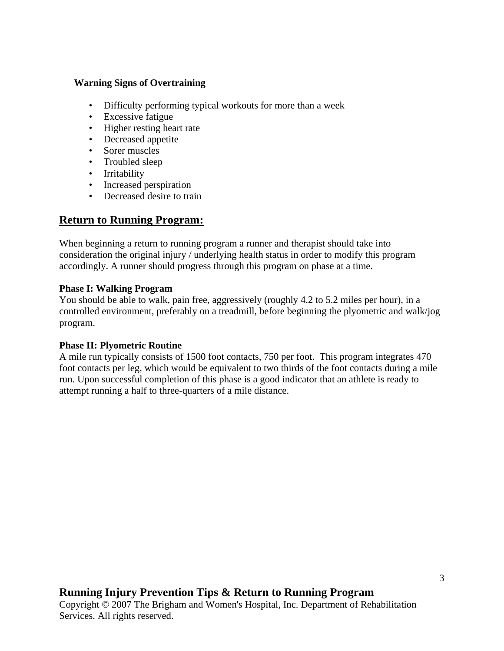#### **Warning Signs of Overtraining**

- Difficulty performing typical workouts for more than a week
- Excessive fatigue
- Higher resting heart rate
- Decreased appetite
- Sorer muscles
- Troubled sleep
- Irritability
- Increased perspiration
- Decreased desire to train

# **Return to Running Program:**

When beginning a return to running program a runner and therapist should take into consideration the original injury / underlying health status in order to modify this program accordingly. A runner should progress through this program on phase at a time.

#### **Phase I: Walking Program**

You should be able to walk, pain free, aggressively (roughly 4.2 to 5.2 miles per hour), in a controlled environment, preferably on a treadmill, before beginning the plyometric and walk/jog program.

#### **Phase II: Plyometric Routine**

A mile run typically consists of 1500 foot contacts, 750 per foot. This program integrates 470 foot contacts per leg, which would be equivalent to two thirds of the foot contacts during a mile run. Upon successful completion of this phase is a good indicator that an athlete is ready to attempt running a half to three-quarters of a mile distance.

# **Running Injury Prevention Tips & Return to Running Program**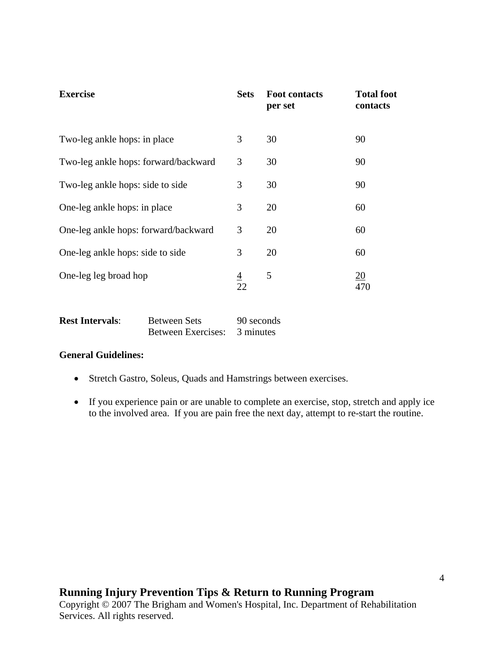| <b>Exercise</b>                      | <b>Sets</b> | <b>Foot contacts</b><br>per set | <b>Total foot</b><br>contacts |
|--------------------------------------|-------------|---------------------------------|-------------------------------|
| Two-leg ankle hops: in place         | 3           | 30                              | 90                            |
| Two-leg ankle hops: forward/backward | 3           | 30                              | 90                            |
| Two-leg ankle hops: side to side     | 3           | 30                              | 90                            |
| One-leg ankle hops: in place         | 3           | 20                              | 60                            |
| One-leg ankle hops: forward/backward | 3           | 20                              | 60                            |
| One-leg ankle hops: side to side     | 3           | 20                              | 60                            |
| One-leg leg broad hop                | $rac{4}{2}$ | 5                               | 20<br>470                     |

| <b>Rest Intervals:</b> | <b>Between Sets</b> | 90 seconds |
|------------------------|---------------------|------------|
|                        | Between Exercises:  | 3 minutes  |

#### **General Guidelines:**

- Stretch Gastro, Soleus, Quads and Hamstrings between exercises.
- If you experience pain or are unable to complete an exercise, stop, stretch and apply ice to the involved area. If you are pain free the next day, attempt to re-start the routine.

# **Running Injury Prevention Tips & Return to Running Program**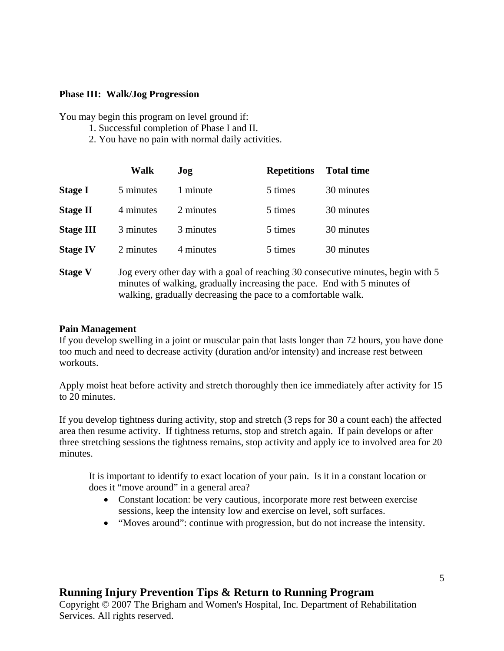#### **Phase III: Walk/Jog Progression**

You may begin this program on level ground if:

- 1. Successful completion of Phase I and II.
- 2. You have no pain with normal daily activities.

|                  | Walk      | Jog       | <b>Repetitions</b> | <b>Total time</b> |
|------------------|-----------|-----------|--------------------|-------------------|
| <b>Stage I</b>   | 5 minutes | 1 minute  | 5 times            | 30 minutes        |
| <b>Stage II</b>  | 4 minutes | 2 minutes | 5 times            | 30 minutes        |
| <b>Stage III</b> | 3 minutes | 3 minutes | 5 times            | 30 minutes        |
| <b>Stage IV</b>  | 2 minutes | 4 minutes | 5 times            | 30 minutes        |
|                  |           |           |                    |                   |

**Stage V** Jog every other day with a goal of reaching 30 consecutive minutes, begin with 5 minutes of walking, gradually increasing the pace. End with 5 minutes of walking, gradually decreasing the pace to a comfortable walk.

#### **Pain Management**

If you develop swelling in a joint or muscular pain that lasts longer than 72 hours, you have done too much and need to decrease activity (duration and/or intensity) and increase rest between workouts.

Apply moist heat before activity and stretch thoroughly then ice immediately after activity for 15 to 20 minutes.

If you develop tightness during activity, stop and stretch (3 reps for 30 a count each) the affected area then resume activity. If tightness returns, stop and stretch again. If pain develops or after three stretching sessions the tightness remains, stop activity and apply ice to involved area for 20 minutes.

It is important to identify to exact location of your pain. Is it in a constant location or does it "move around" in a general area?

- Constant location: be very cautious, incorporate more rest between exercise sessions, keep the intensity low and exercise on level, soft surfaces.
- "Moves around": continue with progression, but do not increase the intensity.

# **Running Injury Prevention Tips & Return to Running Program**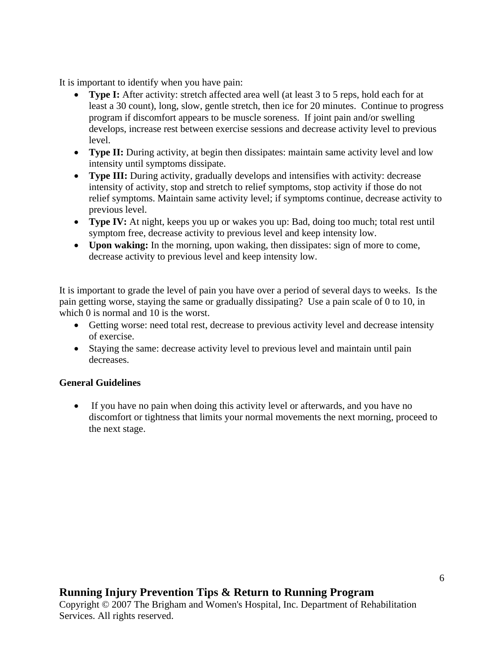It is important to identify when you have pain:

- **Type I:** After activity: stretch affected area well (at least 3 to 5 reps, hold each for at least a 30 count), long, slow, gentle stretch, then ice for 20 minutes. Continue to progress program if discomfort appears to be muscle soreness. If joint pain and/or swelling develops, increase rest between exercise sessions and decrease activity level to previous level.
- **Type II:** During activity, at begin then dissipates: maintain same activity level and low intensity until symptoms dissipate.
- **Type III:** During activity, gradually develops and intensifies with activity: decrease intensity of activity, stop and stretch to relief symptoms, stop activity if those do not relief symptoms. Maintain same activity level; if symptoms continue, decrease activity to previous level.
- **Type IV:** At night, keeps you up or wakes you up: Bad, doing too much; total rest until symptom free, decrease activity to previous level and keep intensity low.
- **Upon waking:** In the morning, upon waking, then dissipates: sign of more to come, decrease activity to previous level and keep intensity low.

It is important to grade the level of pain you have over a period of several days to weeks. Is the pain getting worse, staying the same or gradually dissipating? Use a pain scale of 0 to 10, in which 0 is normal and 10 is the worst.

- Getting worse: need total rest, decrease to previous activity level and decrease intensity of exercise.
- Staying the same: decrease activity level to previous level and maintain until pain decreases.

## **General Guidelines**

• If you have no pain when doing this activity level or afterwards, and you have no discomfort or tightness that limits your normal movements the next morning, proceed to the next stage.

# **Running Injury Prevention Tips & Return to Running Program**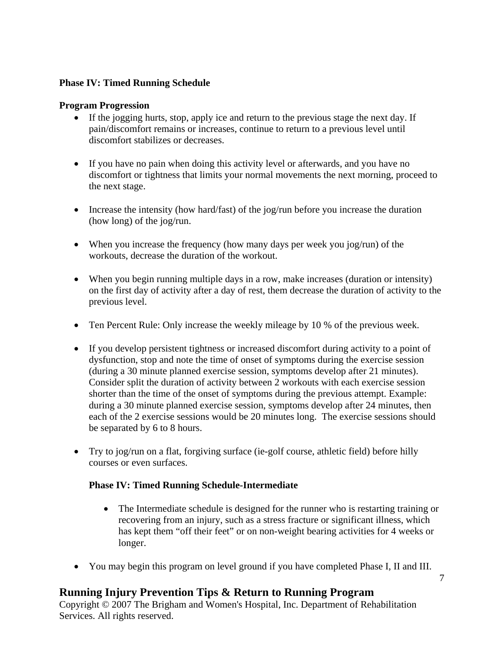### **Phase IV: Timed Running Schedule**

#### **Program Progression**

- If the jogging hurts, stop, apply ice and return to the previous stage the next day. If pain/discomfort remains or increases, continue to return to a previous level until discomfort stabilizes or decreases.
- If you have no pain when doing this activity level or afterwards, and you have no discomfort or tightness that limits your normal movements the next morning, proceed to the next stage.
- Increase the intensity (how hard/fast) of the jog/run before you increase the duration (how long) of the jog/run.
- When you increase the frequency (how many days per week you jog/run) of the workouts, decrease the duration of the workout.
- When you begin running multiple days in a row, make increases (duration or intensity) on the first day of activity after a day of rest, them decrease the duration of activity to the previous level.
- Ten Percent Rule: Only increase the weekly mileage by 10 % of the previous week.
- If you develop persistent tightness or increased discomfort during activity to a point of dysfunction, stop and note the time of onset of symptoms during the exercise session (during a 30 minute planned exercise session, symptoms develop after 21 minutes). Consider split the duration of activity between 2 workouts with each exercise session shorter than the time of the onset of symptoms during the previous attempt. Example: during a 30 minute planned exercise session, symptoms develop after 24 minutes, then each of the 2 exercise sessions would be 20 minutes long. The exercise sessions should be separated by 6 to 8 hours.
- Try to jog/run on a flat, forgiving surface (ie-golf course, athletic field) before hilly courses or even surfaces.

## **Phase IV: Timed Running Schedule-Intermediate**

- The Intermediate schedule is designed for the runner who is restarting training or recovering from an injury, such as a stress fracture or significant illness, which has kept them "off their feet" or on non-weight bearing activities for 4 weeks or longer.
- You may begin this program on level ground if you have completed Phase I, II and III.

# **Running Injury Prevention Tips & Return to Running Program**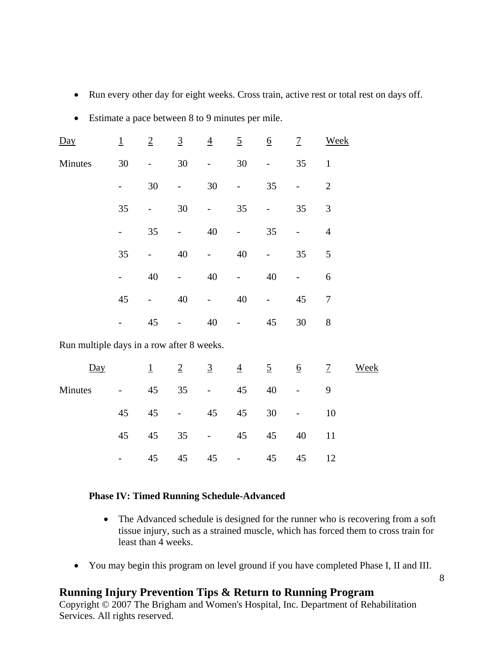- Run every other day for eight weeks. Cross train, active rest or total rest on days off.
- Estimate a pace between 8 to 9 minutes per mile.

| Day                                       | $\overline{\mathbf{1}}$ | $\overline{2}$               | $\overline{3}$ | $\overline{4}$           | $\overline{5}$  | $\underline{6}$ | $\overline{1}$           | <b>Week</b>    |      |
|-------------------------------------------|-------------------------|------------------------------|----------------|--------------------------|-----------------|-----------------|--------------------------|----------------|------|
| Minutes                                   | 30                      | $\qquad \qquad \blacksquare$ | 30             | $\qquad \qquad -$        | 30              |                 | 35                       | $\mathbf{1}$   |      |
|                                           |                         | 30                           |                | $30\,$                   |                 | 35              | $\overline{\phantom{0}}$ | $\overline{2}$ |      |
|                                           | 35                      | -                            | 30             | $\overline{\phantom{0}}$ | 35              |                 | 35                       | $\mathfrak{Z}$ |      |
|                                           | -                       | 35                           |                | 40                       | $\overline{a}$  | 35              | $\overline{\phantom{0}}$ | $\overline{4}$ |      |
|                                           | 35                      |                              | $40\,$         |                          | $40\,$          |                 | 35                       | 5              |      |
|                                           |                         | 40                           |                | 40                       |                 | 40              | $\overline{\phantom{0}}$ | 6              |      |
|                                           | 45                      |                              | 40             | $\overline{a}$           | 40              |                 | 45                       | $\overline{7}$ |      |
|                                           |                         | 45                           |                | 40                       |                 | 45              | 30                       | $8\,$          |      |
| Run multiple days in a row after 8 weeks. |                         |                              |                |                          |                 |                 |                          |                |      |
| $\underline{Day}$                         |                         | $\overline{1}$               | $\overline{2}$ | $\overline{3}$           | $\overline{4}$  | $\overline{5}$  | $\underline{6}$          | $\overline{1}$ | Week |
| $\mathbf{r}$                              |                         | $\prime$ $\prime$            | $\sim$ $\sim$  |                          | $\prime$ $\sim$ | $\sqrt{ }$      |                          | $\sim$         |      |

| Minutes |  |  |  | $-45$ 35 $-45$ 40 $-$  |  |
|---------|--|--|--|------------------------|--|
|         |  |  |  | 45 45 - 45 45 30 - 10  |  |
|         |  |  |  | 45 45 35 - 45 45 40 11 |  |
|         |  |  |  | $-45$ 45 45 - 45 45 12 |  |

#### **Phase IV: Timed Running Schedule-Advanced**

- The Advanced schedule is designed for the runner who is recovering from a soft tissue injury, such as a strained muscle, which has forced them to cross train for least than 4 weeks.
- You may begin this program on level ground if you have completed Phase I, II and III.

# **Running Injury Prevention Tips & Return to Running Program**